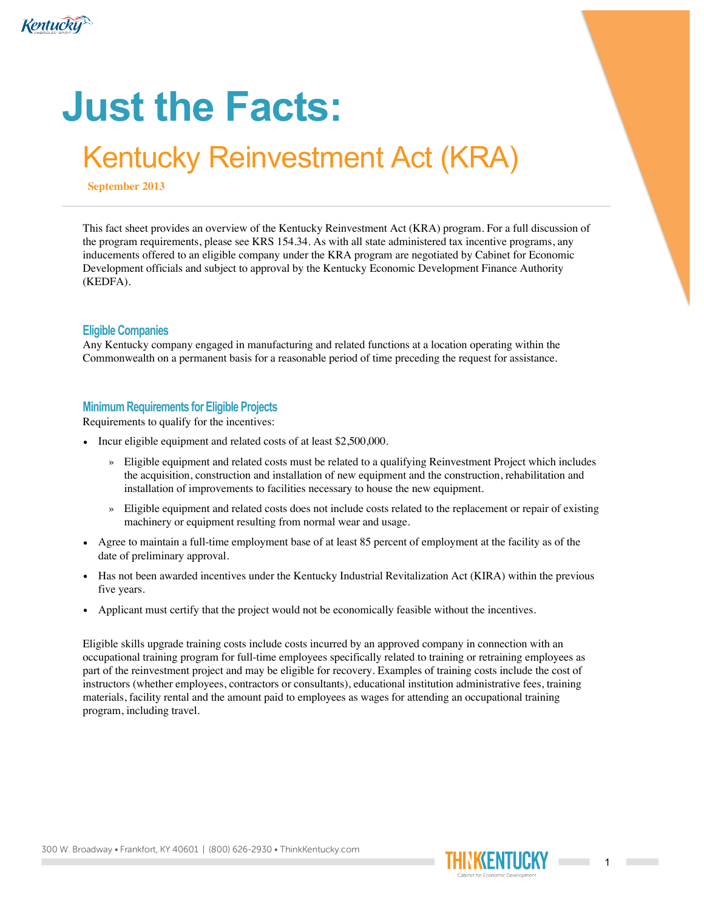

# **Just the Facts:**

# Kentucky Reinvestment Act (KRA)

**September 2013**

This fact sheet provides an overview of the Kentucky Reinvestment Act (KRA) program. For a full discussion of the program requirements, please see KRS 154.34. As with all state administered tax incentive programs, any inducements offered to an eligible company under the KRA program are negotiated by Cabinet for Economic Development officials and subject to approval by the Kentucky Economic Development Finance Authority (KEDFA).

### **Eligible Companies**

Any Kentucky company engaged in manufacturing and related functions at a location operating within the Commonwealth on a permanent basis for a reasonable period of time preceding the request for assistance.

# **Minimum Requirements for Eligible Projects**

Requirements to qualify for the incentives:

- Incur eligible equipment and related costs of at least \$2,500,000.
	- » Eligible equipment and related costs must be related to a qualifying Reinvestment Project which includes the acquisition, construction and installation of new equipment and the construction, rehabilitation and installation of improvements to facilities necessary to house the new equipment.
	- » Eligible equipment and related costs does not include costs related to the replacement or repair of existing machinery or equipment resulting from normal wear and usage.
- Agree to maintain a full-time employment base of at least 85 percent of employment at the facility as of the date of preliminary approval.
- Has not been awarded incentives under the Kentucky Industrial Revitalization Act (KIRA) within the previous five years.
- Applicant must certify that the project would not be economically feasible without the incentives.

Eligible skills upgrade training costs include costs incurred by an approved company in connection with an occupational training program for full-time employees specifically related to training or retraining employees as part of the reinvestment project and may be eligible for recovery. Examples of training costs include the cost of instructors (whether employees, contractors or consultants), educational institution administrative fees, training materials, facility rental and the amount paid to employees as wages for attending an occupational training program, including travel.

300 W. Broadway • Frankfort, KY 40601 | (800) 626-2930 • ThinkKentucky.com

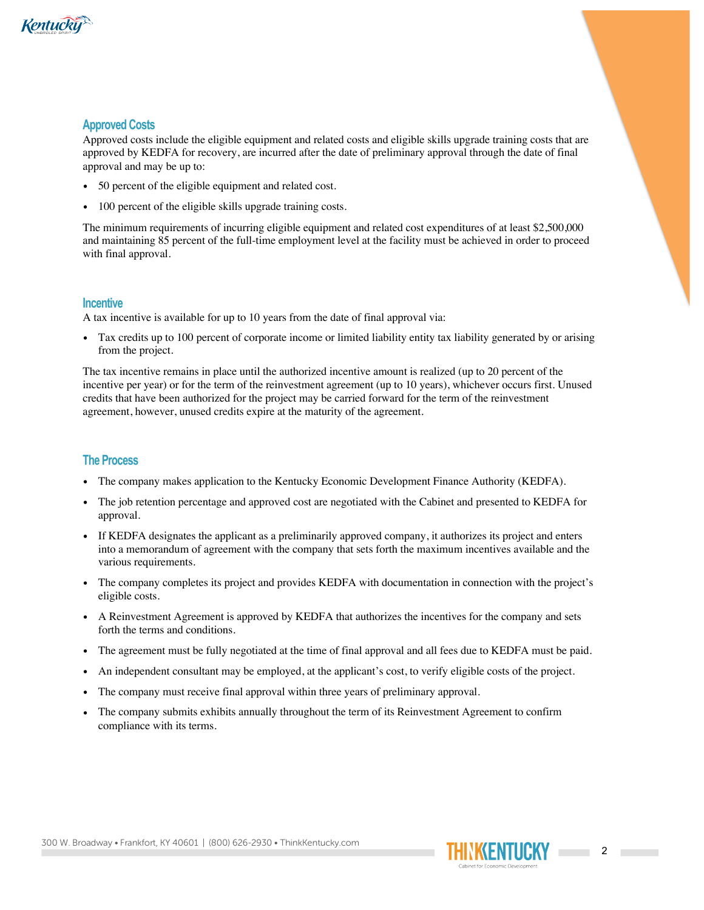

## **Approved Costs**

Approved costs include the eligible equipment and related costs and eligible skills upgrade training costs that are approved by KEDFA for recovery, are incurred after the date of preliminary approval through the date of final approval and may be up to:

- 50 percent of the eligible equipment and related cost.
- 100 percent of the eligible skills upgrade training costs.

The minimum requirements of incurring eligible equipment and related cost expenditures of at least \$2,500,000 and maintaining 85 percent of the full-time employment level at the facility must be achieved in order to proceed with final approval.

#### **Incentive**

A tax incentive is available for up to 10 years from the date of final approval via:

• Tax credits up to 100 percent of corporate income or limited liability entity tax liability generated by or arising from the project.

The tax incentive remains in place until the authorized incentive amount is realized (up to 20 percent of the incentive per year) or for the term of the reinvestment agreement (up to 10 years), whichever occurs first. Unused credits that have been authorized for the project may be carried forward for the term of the reinvestment agreement, however, unused credits expire at the maturity of the agreement.

#### **The Process**

- The company makes application to the Kentucky Economic Development Finance Authority (KEDFA).
- The job retention percentage and approved cost are negotiated with the Cabinet and presented to KEDFA for approval.
- If KEDFA designates the applicant as a preliminarily approved company, it authorizes its project and enters into a memorandum of agreement with the company that sets forth the maximum incentives available and the various requirements.
- The company completes its project and provides KEDFA with documentation in connection with the project's eligible costs.
- A Reinvestment Agreement is approved by KEDFA that authorizes the incentives for the company and sets forth the terms and conditions.
- The agreement must be fully negotiated at the time of final approval and all fees due to KEDFA must be paid.
- An independent consultant may be employed, at the applicant's cost, to verify eligible costs of the project.
- The company must receive final approval within three years of preliminary approval.
- The company submits exhibits annually throughout the term of its Reinvestment Agreement to confirm compliance with its terms.